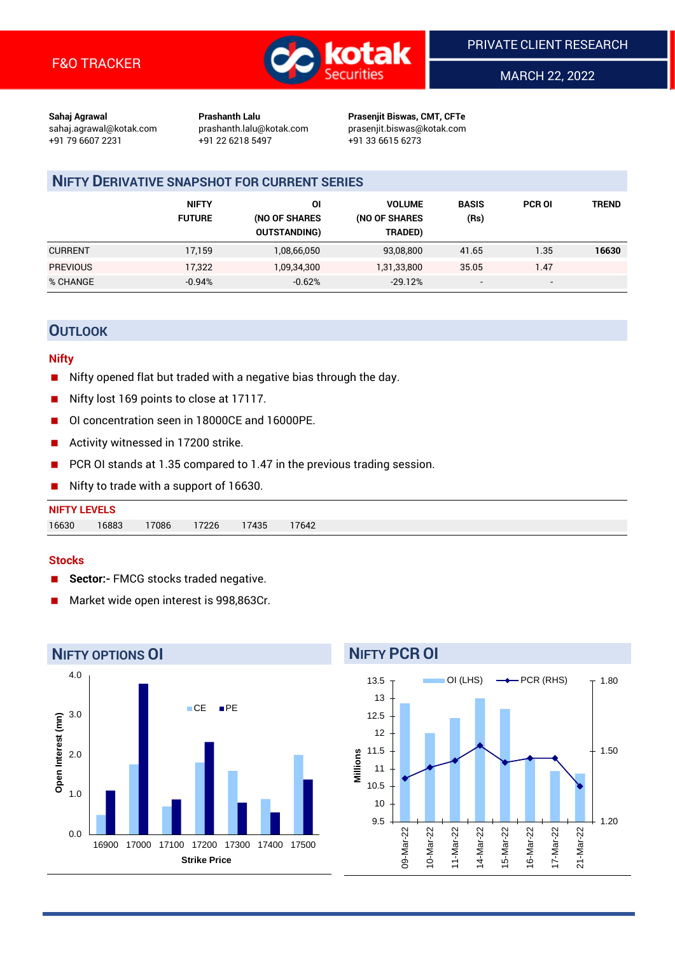

MARCH 22, 2022

**Sahaj Agrawal Prashanth Lalu Prasenjit Biswas, CMT, CFTe** +91 79 6607 2231 +91 22 6218 5497 +91 33 6615 6273

sahaj.agrawal@kotak.com [prashanth.lalu@kotak.com](mailto:prashanth.lalu@kotak.com) prasenjit.biswas@kotak.com

## **NIFTY DERIVATIVE SNAPSHOT FOR CURRENT SERIES**

|                 | <b>NIFTY</b><br><b>FUTURE</b> | ΟI<br>(NO OF SHARES<br><b>OUTSTANDING)</b> | <b>VOLUME</b><br>(NO OF SHARES<br>TRADED) | <b>BASIS</b><br>(Rs)     | <b>PCR OI</b>            | TREND |
|-----------------|-------------------------------|--------------------------------------------|-------------------------------------------|--------------------------|--------------------------|-------|
| <b>CURRENT</b>  | 17,159                        | 1,08,66,050                                | 93,08,800                                 | 41.65                    | 1.35                     | 16630 |
| <b>PREVIOUS</b> | 17,322                        | 1,09,34,300                                | 1,31,33,800                               | 35.05                    | 1.47                     |       |
| % CHANGE        | $-0.94%$                      | $-0.62%$                                   | $-29.12%$                                 | $\overline{\phantom{a}}$ | $\overline{\phantom{a}}$ |       |

## **OUTLOOK**

#### **Nifty**

- Nifty opened flat but traded with a negative bias through the day.
- Nifty lost 169 points to close at 17117.
- OI concentration seen in 18000CE and 16000PE.
- Activity witnessed in 17200 strike.
- PCR OI stands at 1.35 compared to 1.47 in the previous trading session.
- Nifty to trade with a support of 16630.

#### **Stocks**

- **Sector:-** FMCG stocks traded negative.
- Market wide open interest is 998,863Cr.



# 13.5

**NIFTY PCR OI**

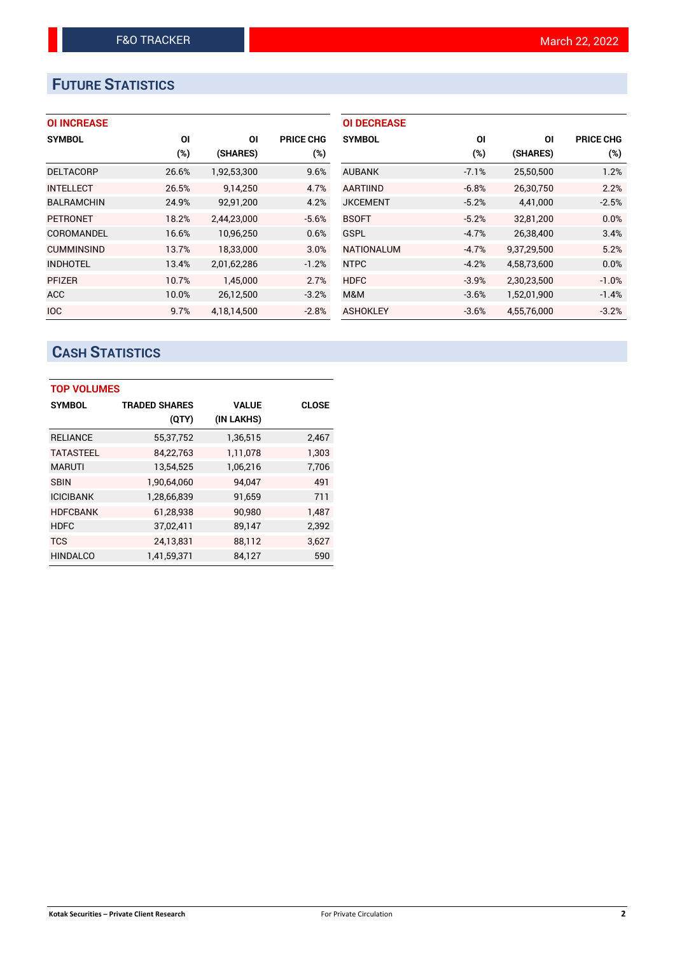# **FUTURE STATISTICS**

|  | <b>OI INCREASE</b> |  |
|--|--------------------|--|
|  |                    |  |

| <b>SYMBOL</b>     | ΟI     | ΟI          | <b>PRICE CHG</b> |
|-------------------|--------|-------------|------------------|
|                   | $(\%)$ | (SHARES)    | (%)              |
| <b>DELTACORP</b>  | 26.6%  | 1,92,53,300 | 9.6%             |
| <b>INTELLECT</b>  | 26.5%  | 9,14,250    | 4.7%             |
| <b>BALRAMCHIN</b> | 24.9%  | 92,91,200   | 4.2%             |
| <b>PETRONET</b>   | 18.2%  | 2,44,23,000 | $-5.6%$          |
| COROMANDEL        | 16.6%  | 10,96,250   | 0.6%             |
| <b>CUMMINSIND</b> | 13.7%  | 18,33,000   | 3.0%             |
| <b>INDHOTEL</b>   | 13.4%  | 2,01,62,286 | $-1.2%$          |
| <b>PFIZER</b>     | 10.7%  | 1,45,000    | 2.7%             |
| <b>ACC</b>        | 10.0%  | 26,12,500   | $-3.2%$          |
| <b>IOC</b>        | 9.7%   | 4.18.14.500 | $-2.8%$          |

| <b>OI DECREASE</b> |         |             |                  |
|--------------------|---------|-------------|------------------|
| <b>SYMBOL</b>      | ΟI      | ΟI          | <b>PRICE CHG</b> |
|                    | (%)     | (SHARES)    | $(\%)$           |
| <b>AUBANK</b>      | $-7.1%$ | 25,50,500   | 1.2%             |
| <b>AARTIIND</b>    | $-6.8%$ | 26,30,750   | 2.2%             |
| <b>JKCEMENT</b>    | $-5.2%$ | 4,41,000    | $-2.5%$          |
| <b>BSOFT</b>       | $-5.2%$ | 32,81,200   | 0.0%             |
| <b>GSPL</b>        | $-4.7%$ | 26,38,400   | 3.4%             |
| <b>NATIONALUM</b>  | $-4.7%$ | 9,37,29,500 | 5.2%             |
| <b>NTPC</b>        | $-4.2%$ | 4,58,73,600 | 0.0%             |
| <b>HDFC</b>        | $-3.9%$ | 2,30,23,500 | $-1.0%$          |
| M&M                | $-3.6%$ | 1,52,01,900 | $-1.4%$          |
| <b>ASHOKLEY</b>    | $-3.6%$ | 4,55,76,000 | $-3.2%$          |

# **CASH STATISTICS**

| <b>TOP VOLUMES</b> |                      |              |              |  |  |  |  |  |  |
|--------------------|----------------------|--------------|--------------|--|--|--|--|--|--|
| <b>SYMBOL</b>      | <b>TRADED SHARES</b> | <b>VALUE</b> | <b>CLOSE</b> |  |  |  |  |  |  |
|                    | (QTY)                | (IN LAKHS)   |              |  |  |  |  |  |  |
| <b>RELIANCE</b>    | 55,37,752            | 1,36,515     | 2,467        |  |  |  |  |  |  |
| <b>TATASTEEL</b>   | 84,22,763            | 1,11,078     | 1.303        |  |  |  |  |  |  |
| <b>MARUTI</b>      | 13,54,525            | 1,06,216     | 7,706        |  |  |  |  |  |  |
| <b>SBIN</b>        | 1,90,64,060          | 94.047       | 491          |  |  |  |  |  |  |
| <b>ICICIBANK</b>   | 1,28,66,839          | 91,659       | 711          |  |  |  |  |  |  |
| <b>HDFCBANK</b>    | 61,28,938            | 90,980       | 1,487        |  |  |  |  |  |  |
| <b>HDFC</b>        | 37,02,411            | 89,147       | 2,392        |  |  |  |  |  |  |
| <b>TCS</b>         | 24,13,831            | 88,112       | 3,627        |  |  |  |  |  |  |
| <b>HINDALCO</b>    | 1,41,59,371          | 84,127       | 590          |  |  |  |  |  |  |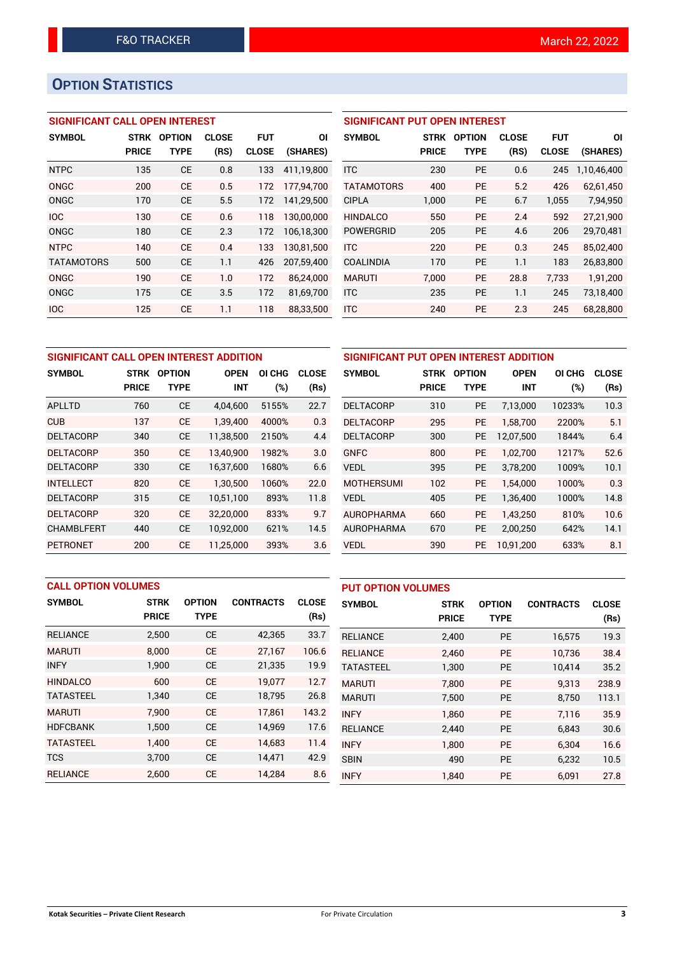# **OPTION STATISTICS**

## **SIGNIFICANT CALL OPEN INTEREST**

| <b>SYMBOL</b>     | <b>STRK</b>  | <b>OPTION</b> | <b>CLOSE</b> | <b>FUT</b>   | ΟI         |
|-------------------|--------------|---------------|--------------|--------------|------------|
|                   | <b>PRICE</b> | <b>TYPE</b>   | (RS)         | <b>CLOSE</b> | (SHARES)   |
| <b>NTPC</b>       | 135          | <b>CE</b>     | 0.8          | 133          | 411,19,800 |
| ONGC              | 200          | CE            | 0.5          | 172          | 177,94,700 |
| ONGC              | 170          | CE            | 5.5          | 172          | 141,29,500 |
| <b>IOC</b>        | 130          | CE            | 0.6          | 118          | 130,00,000 |
| ONGC              | 180          | CE            | 2.3          | 172          | 106,18,300 |
| <b>NTPC</b>       | 140          | CE            | 0.4          | 133          | 130,81,500 |
| <b>TATAMOTORS</b> | 500          | CE            | 1.1          | 426          | 207,59,400 |
| ONGC              | 190          | CE            | 1.0          | 172          | 86,24,000  |
| ONGC              | 175          | CE            | 3.5          | 172          | 81,69,700  |
| <b>IOC</b>        | 125          | <b>CE</b>     | 1.1          | 118          | 88,33,500  |

## **SIGNIFICANT PUT OPEN INTEREST SYMBOL STRK OPTION CLOSE FUT OI PRICE TYPE (RS) CLOSE (SHARES)** ITC 230 PE 0.6 245 1,10,46,400 TATAMOTORS 400 PE 5.2 426 62,61,450 CIPLA 1,000 PE 6.7 1,055 7,94,950 HINDALCO 550 PE 2.4 592 27,21,900 POWERGRID 205 PE 4.6 206 29,70,481

ITC 220 PE 0.3 245 85,02,400 COALINDIA 170 PE 1.1 183 26,83,800 MARUTI 7,000 PE 28.8 7,733 1,91,200 ITC 235 PE 1.1 245 73,18,400 ITC 240 PE 2.3 245 68,28,800

| SIGNIFICANT CALL OPEN INTEREST ADDITION |              |               |             |        |              |  |  |  |
|-----------------------------------------|--------------|---------------|-------------|--------|--------------|--|--|--|
| <b>SYMBOL</b>                           | <b>STRK</b>  | <b>OPTION</b> | <b>OPEN</b> | OI CHG | <b>CLOSE</b> |  |  |  |
|                                         | <b>PRICE</b> | <b>TYPE</b>   | <b>INT</b>  | $(\%)$ | (Rs)         |  |  |  |
| APLLTD                                  | 760          | <b>CE</b>     | 4,04,600    | 5155%  | 22.7         |  |  |  |
| CUB                                     | 137          | CE            | 1,39,400    | 4000%  | 0.3          |  |  |  |
| <b>DELTACORP</b>                        | 340          | <b>CE</b>     | 11,38,500   | 2150%  | 4.4          |  |  |  |
| <b>DELTACORP</b>                        | 350          | <b>CE</b>     | 13,40,900   | 1982%  | 3.0          |  |  |  |
| <b>DELTACORP</b>                        | 330          | <b>CE</b>     | 16,37,600   | 1680%  | 6.6          |  |  |  |
| <b>INTELLECT</b>                        | 820          | <b>CE</b>     | 1,30,500    | 1060%  | 22.0         |  |  |  |
| <b>DELTACORP</b>                        | 315          | <b>CE</b>     | 10,51,100   | 893%   | 11.8         |  |  |  |
| <b>DELTACORP</b>                        | 320          | <b>CE</b>     | 32,20,000   | 833%   | 9.7          |  |  |  |
| <b>CHAMBLFERT</b>                       | 440          | <b>CE</b>     | 10,92,000   | 621%   | 14.5         |  |  |  |
| <b>PETRONET</b>                         | 200          | CE            | 11.25.000   | 393%   | 3.6          |  |  |  |

| SIGNIFICANT PUT OPEN INTEREST ADDITION |              |               |             |        |              |  |  |  |
|----------------------------------------|--------------|---------------|-------------|--------|--------------|--|--|--|
| <b>SYMBOL</b>                          | <b>STRK</b>  | <b>OPTION</b> | <b>OPEN</b> | OI CHG | <b>CLOSE</b> |  |  |  |
|                                        | <b>PRICE</b> | <b>TYPE</b>   | <b>INT</b>  | $(\%)$ | (Rs)         |  |  |  |
| <b>DELTACORP</b>                       | 310          | <b>PE</b>     | 7,13,000    | 10233% | 10.3         |  |  |  |
| <b>DELTACORP</b>                       | 295          | <b>PE</b>     | 1,58,700    | 2200%  | 5.1          |  |  |  |
| <b>DELTACORP</b>                       | 300          | <b>PE</b>     | 12,07,500   | 1844%  | 6.4          |  |  |  |
| <b>GNFC</b>                            | 800          | <b>PE</b>     | 1.02.700    | 1217%  | 52.6         |  |  |  |
| <b>VEDL</b>                            | 395          | <b>PE</b>     | 3,78,200    | 1009%  | 10.1         |  |  |  |
| <b>MOTHERSUMI</b>                      | 102          | <b>PE</b>     | 1,54,000    | 1000%  | 0.3          |  |  |  |
| <b>VEDL</b>                            | 405          | <b>PE</b>     | 1,36,400    | 1000%  | 14.8         |  |  |  |
| <b>AUROPHARMA</b>                      | 660          | <b>PE</b>     | 1,43,250    | 810%   | 10.6         |  |  |  |
| <b>AUROPHARMA</b>                      | 670          | <b>PE</b>     | 2,00,250    | 642%   | 14.1         |  |  |  |
| <b>VEDL</b>                            | 390          | <b>PE</b>     | 10,91,200   | 633%   | 8.1          |  |  |  |

| <b>CALL OPTION VOLUMES</b> |              |               |                  |              | <b>PUT OPTION VOLUMES</b> |              |               |                  |              |
|----------------------------|--------------|---------------|------------------|--------------|---------------------------|--------------|---------------|------------------|--------------|
| <b>SYMBOL</b>              | <b>STRK</b>  | <b>OPTION</b> | <b>CONTRACTS</b> | <b>CLOSE</b> | <b>SYMBOL</b>             | <b>STRK</b>  | <b>OPTION</b> | <b>CONTRACTS</b> | <b>CLOSE</b> |
|                            | <b>PRICE</b> | <b>TYPE</b>   |                  | (Rs)         |                           | <b>PRICE</b> | <b>TYPE</b>   |                  | (Rs)         |
| <b>RELIANCE</b>            | 2,500        | <b>CE</b>     | 42,365           | 33.7         | <b>RELIANCE</b>           | 2,400        | <b>PE</b>     | 16,575           | 19.3         |
| <b>MARUTI</b>              | 8.000        | <b>CE</b>     | 27,167           | 106.6        | <b>RELIANCE</b>           | 2.460        | <b>PE</b>     | 10.736           | 38.4         |
| <b>INFY</b>                | 1,900        | <b>CE</b>     | 21,335           | 19.9         | <b>TATASTEEL</b>          | 1,300        | <b>PE</b>     | 10,414           | 35.2         |
| <b>HINDALCO</b>            | 600          | <b>CE</b>     | 19.077           | 12.7         | <b>MARUTI</b>             | 7.800        | <b>PE</b>     | 9.313            | 238.9        |
| <b>TATASTEEL</b>           | 1,340        | <b>CE</b>     | 18,795           | 26.8         | <b>MARUTI</b>             | 7,500        | <b>PE</b>     | 8.750            | 113.1        |
| <b>MARUTI</b>              | 7,900        | <b>CE</b>     | 17,861           | 143.2        | <b>INFY</b>               | 1.860        | <b>PE</b>     | 7.116            | 35.9         |
| <b>HDFCBANK</b>            | 1,500        | <b>CE</b>     | 14,969           | 17.6         | <b>RELIANCE</b>           | 2,440        | <b>PE</b>     | 6.843            | 30.6         |
| <b>TATASTEEL</b>           | 1.400        | <b>CE</b>     | 14.683           | 11.4         | <b>INFY</b>               | 1,800        | <b>PE</b>     | 6.304            | 16.6         |
| <b>TCS</b>                 | 3.700        | <b>CE</b>     | 14,471           | 42.9         | <b>SBIN</b>               | 490          | <b>PE</b>     | 6,232            | 10.5         |
| <b>RELIANCE</b>            | 2.600        | <b>CE</b>     | 14.284           | 8.6          | <b>INFY</b>               | 1,840        | <b>PE</b>     | 6,091            | 27.8         |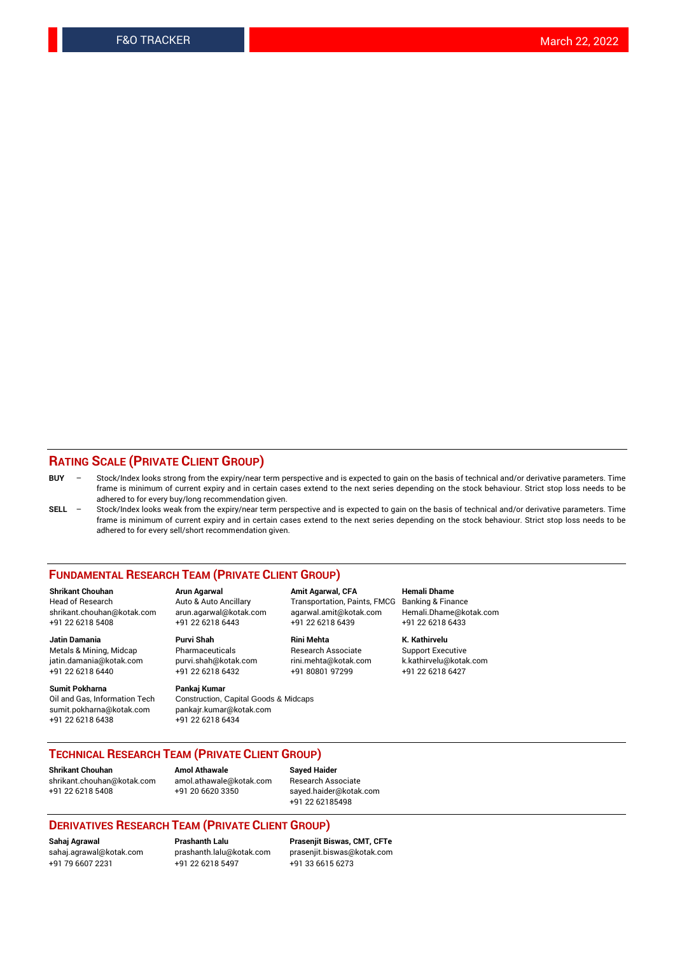### **RATING SCALE (PRIVATE CLIENT GROUP)**

- **BUY**  Stock/Index looks strong from the expiry/near term perspective and is expected to gain on the basis of technical and/or derivative parameters. Time frame is minimum of current expiry and in certain cases extend to the next series depending on the stock behaviour. Strict stop loss needs to be adhered to for every buy/long recommendation given.
- **SELL** Stock/Index looks weak from the expiry/near term perspective and is expected to gain on the basis of technical and/or derivative parameters. Time frame is minimum of current expiry and in certain cases extend to the next series depending on the stock behaviour. Strict stop loss needs to be adhered to for every sell/short recommendation given.

#### **FUNDAMENTAL RESEARCH TEAM (PRIVATE CLIENT GROUP)**

**Shrikant Chouhan Arun Agarwal Amit Agarwal, CFA Hemali Dhame** shrikant.chouhan@kotak.com arun.agarwal@kotak.com agarwal.amit@kotak.com Hemali.Dhame@kotak.com +91 22 6218 5408 +91 22 6218 6443 +91 22 6218 6439 +91 22 6218 6433

Metals & Mining, Midcap Pharmaceuticals Pharmaceuticals Research Associate Support Executive<br>
iatin.damania@kotak.com purvi.shah@kotak.com rini.mehta@kotak.com k.kathirvelu@kotak.com jatin.damania@kotak.com

**Sumit Pokharna** Pankaj Kumar<br>Oil and Gas, Information Tech Construction, sumit.pokharna@kotak.com pankajr.kumar@kotak.com

**Jatin Damania Purvi Shah Rini Mehta K. Kathirvelu**

Construction, Capital Goods & Midcaps +91 22 6218 6438 +91 22 6218 6434

Transportation, Paints, FMCG

+91 22 6218 6440 +91 22 6218 6432 +91 80801 97299 +91 22 6218 6427

## **TECHNICAL RESEARCH TEAM (PRIVATE CLIENT GROUP)**

[shrikant.chouhan@kotak.com](mailto:shrikant.chouhan@kotak.com) [amol.athawale@kotak.com](mailto:amol.athawale@kotak.com) Research Associate +91 22 6218 5408 +91 20 6620 3350 [sayed.haider@kotak.com](mailto:sayed.haider@kotak.com)

**Shrikant Chouhan Amol Athawale Sayed Haider**

+91 22 62185498

#### **DERIVATIVES RESEARCH TEAM (PRIVATE CLIENT GROUP)**

+91 79 6607 2231 +91 22 6218 5497 +91 33 6615 6273

**Sahaj Agrawal Prashanth Lalu Prasenjit Biswas, CMT, CFTe** [prasenjit.biswas@kotak.com](mailto:prasenjit.biswas@kotak.com)